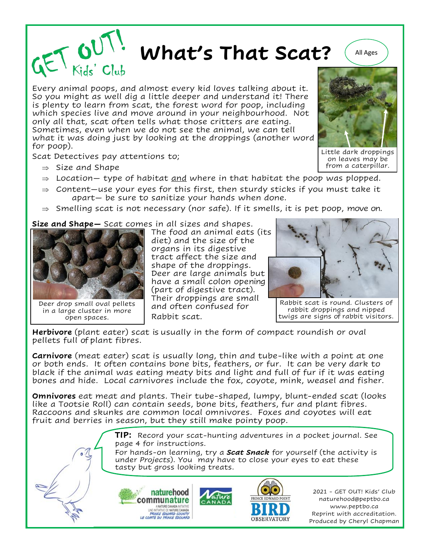**What's That Scat?**  $\left(\begin{array}{c} \text{All } \text{Ages} \end{array}\right)$ 

Every animal poops, and almost every kid loves talking about it. So you might as well dig a little deeper and understand it! There is plenty to learn from scat, the forest word for poop, including which species live and move around in your neighbourhood. Not only all that, scat often tells what those critters are eating. Sometimes, even when we do not see the animal, we can tell what it was doing just by looking at the droppings (another word for poop).

Scat Detectives pay attentions to;

- $\Rightarrow$  Size and Shape
- $\Rightarrow$  Location- type of habitat <u>and</u> where in that habitat the poop was plopped.
- $\Rightarrow$  Content–use your eyes for this first, then sturdy sticks if you must take it apart— be sure to sanitize your hands when done.
- $\Rightarrow$  Smelling scat is not necessary (nor safe). If it smells, it is pet poop, move on.

**Size and Shape—** Scat comes in all sizes and shapes.



Deer drop small oval pellets in a large cluster in more open spaces.

The food an animal eats (its diet) and the size of the organs in its digestive tract affect the size and shape of the droppings. Deer are large animals but have a small colon opening (part of digestive tract). Their droppings are small and often confused for Rabbit scat.



Rabbit scat is round. Clusters of rabbit droppings and nipped twigs are signs of rabbit visitors.

**Herbivore** (plant eater) scat is usually in the form of compact roundish or oval pellets full of plant fibres.

**Carnivore** (meat eater) scat is usually long, thin and tube-like with a point at one or both ends. It often contains bone bits, feathers, or fur. It can be very dark to black if the animal was eating meaty bits and light and full of fur if it was eating bones and hide. Local carnivores include the fox, coyote, mink, weasel and fisher.

**Omnivores** eat meat and plants. Their tube-shaped, lumpy, blunt-ended scat (looks like a Tootsie Roll) can contain seeds, bone bits, feathers, fur and plant fibres. Raccoons and skunks are common local omnivores. Foxes and coyotes will eat fruit and berries in season, but they still make pointy poop.

> **TIP:** Record your scat-hunting adventures in a pocket journal. See page 4 for instructions.

> For hands-on learning, try a *Scat Snack* for yourself (the activity is under *Projects*). You may have to close your eyes to eat these tasty but gross looking treats.



2021 - GET OUT! Kids' Club naturehood@peptbo.ca www.peptbo.ca Reprint with accreditation. Produced by Cheryl Chapman



Little dark droppings on leaves may be from a caterpillar.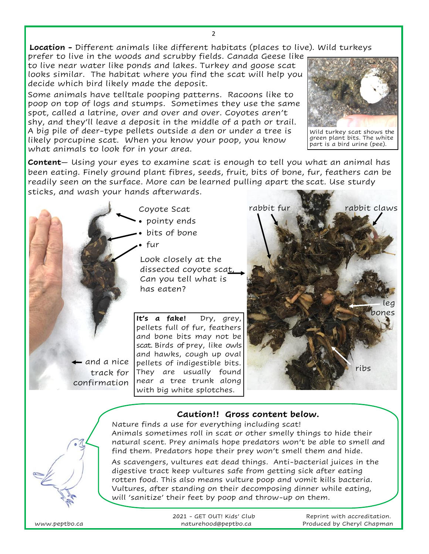2

**Location -** Different animals like different habitats (places to live). Wild turkeys

prefer to live in the woods and scrubby fields. Canada Geese like to live near water like ponds and lakes. Turkey and goose scat looks similar. The habitat where you find the scat will help you decide which bird likely made the deposit.

Some animals have telltale pooping patterns. Racoons like to poop on top of logs and stumps. Sometimes they use the same spot, called a latrine, over and over and over. Coyotes aren't shy, and they'll leave a deposit in the middle of a path or trail. A big pile of deer-type pellets outside a den or under a tree is likely porcupine scat. When you know your poop, you know what animals to look for in your area.



Wild turkey scat shows the green plant bits. The white part is a bird urine (pee).

**Content**— Using your eyes to examine scat is enough to tell you what an animal has been eating. Finely ground plant fibres, seeds, fruit, bits of bone, fur, feathers can be readily seen on the surface. More can be learned pulling apart the scat. Use sturdy sticks, and wash your hands afterwards.



Coyote Scat • pointy ends

• bits of bone

• fur

Look closely at the dissected coyote scat, Can you tell what is has eaten?

**It's a fake!** Dry, grey, pellets full of fur, feathers and bone bits may not be scat. Birds of prey, like owls and hawks, cough up oval pellets of indigestible bits. They are usually found near a tree trunk along with big white splotches.



## **Caution!! Gross content below.**



Nature finds a use for everything including scat! Animals sometimes roll in scat or other smelly things to hide their natural scent. Prey animals hope predators won't be able to smell and find them. Predators hope their prey won't smell them and hide.

As scavengers, vultures eat dead things. Anti-bacterial juices in the digestive tract keep vultures safe from getting sick after eating rotten food. This also means vulture poop and vomit kills bacteria. Vultures, after standing on their decomposing dinner while eating, will 'sanitize' their feet by poop and throw-up on them.

|               | 2021 - GET OUT! Kids' Club | Reprint with accreditation. |
|---------------|----------------------------|-----------------------------|
| www.peptbo.ca | naturehood@peptbo.ca       | Produced by Cheryl Chapman  |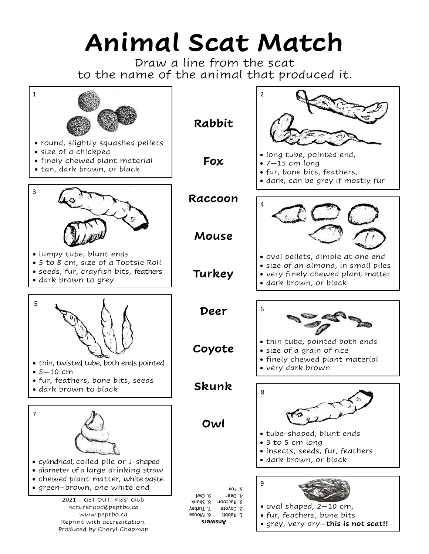## **Animal Scat Match**

Draw a line from the scat to the name of the animal that produced it.